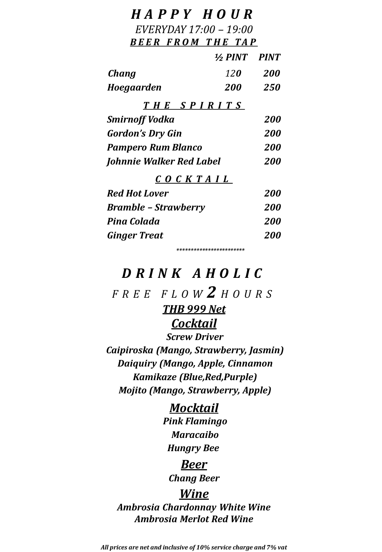| HAPPY HOUR                  |                         |            |
|-----------------------------|-------------------------|------------|
| EVERYDAY 17:00 - 19:00      |                         |            |
| <b>BEER FROM THE TAP</b>    |                         |            |
|                             | $\frac{1}{2}$ PINT PINT |            |
| Chang                       | <b>120</b>              | 200        |
| Hoegaarden                  | <b>200</b>              | <i>250</i> |
| THE SPIRITS                 |                         |            |
| Smirnoff Vodka              |                         | 200        |
| <b>Gordon's Dry Gin</b>     |                         | <b>200</b> |
| <b>Pampero Rum Blanco</b>   |                         | 200        |
| Johnnie Walker Red Label    |                         | <b>200</b> |
| $C$ $O$ $C$ $K$ $TA$ $IL$   |                         |            |
| <b>Red Hot Lover</b>        |                         | <i>200</i> |
| <b>Bramble - Strawberry</b> |                         | <i>200</i> |
| Pina Colada                 |                         | <i>200</i> |
| <b>Ginger Treat</b>         |                         | 200        |

#### *D R I N K A H O L I C*

*\*\*\*\*\*\*\*\*\*\*\*\*\*\*\*\*\*\*\*\*\*\*\*\**

*F R E E F L O W 2 H O U R S*

#### *THB 999 Net*

#### *Cocktail*

*Screw Driver Caipiroska (Mango, Strawberry, Jasmin) Daiquiry (Mango, Apple, Cinnamon Kamikaze (Blue,Red,Purple) Mojito (Mango, Strawberry, Apple)*

# *Mocktail*

*Pink Flamingo Maracaibo Hungry Bee*

#### *Beer*

*Chang Beer*

#### *Wine*

*Ambrosia Chardonnay White Wine Ambrosia Merlot Red Wine*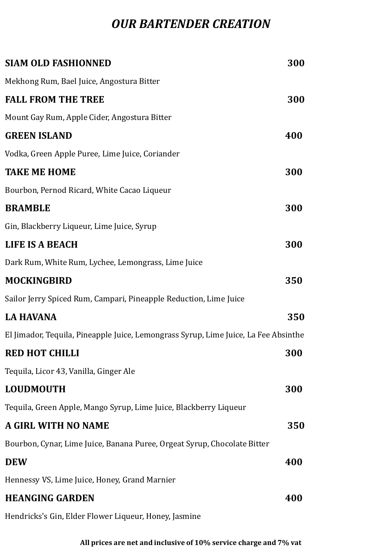#### *OUR BARTENDER CREATION*

| SIAM OLD FASHIONNED                                                                 | 300 |
|-------------------------------------------------------------------------------------|-----|
| Mekhong Rum, Bael Juice, Angostura Bitter                                           |     |
| <b>FALL FROM THE TREE</b>                                                           | 300 |
| Mount Gay Rum, Apple Cider, Angostura Bitter                                        |     |
| <b>GREEN ISLAND</b>                                                                 | 400 |
| Vodka, Green Apple Puree, Lime Juice, Coriander                                     |     |
| <b>TAKE ME HOME</b>                                                                 | 300 |
| Bourbon, Pernod Ricard, White Cacao Liqueur                                         |     |
| <b>BRAMBLE</b>                                                                      | 300 |
| Gin, Blackberry Liqueur, Lime Juice, Syrup                                          |     |
| <b>LIFE IS A BEACH</b>                                                              | 300 |
| Dark Rum, White Rum, Lychee, Lemongrass, Lime Juice                                 |     |
| MOCKINGBIRD                                                                         | 350 |
| Sailor Jerry Spiced Rum, Campari, Pineapple Reduction, Lime Juice                   |     |
| <b>LA HAVANA</b>                                                                    | 350 |
| El Jimador, Tequila, Pineapple Juice, Lemongrass Syrup, Lime Juice, La Fee Absinthe |     |
| <b>RED HOT CHILLI</b>                                                               | 300 |
| Tequila, Licor 43, Vanilla, Ginger Ale                                              |     |
| LOUDMOUTH                                                                           | 300 |
| Tequila, Green Apple, Mango Syrup, Lime Juice, Blackberry Liqueur                   |     |
| A GIRL WITH NO NAME                                                                 | 350 |
| Bourbon, Cynar, Lime Juice, Banana Puree, Orgeat Syrup, Chocolate Bitter            |     |
| DEW                                                                                 | 400 |
| Hennessy VS, Lime Juice, Honey, Grand Marnier                                       |     |
| <b>HEANGING GARDEN</b>                                                              | 400 |
| Hendricks's Gin, Elder Flower Liqueur, Honey, Jasmine                               |     |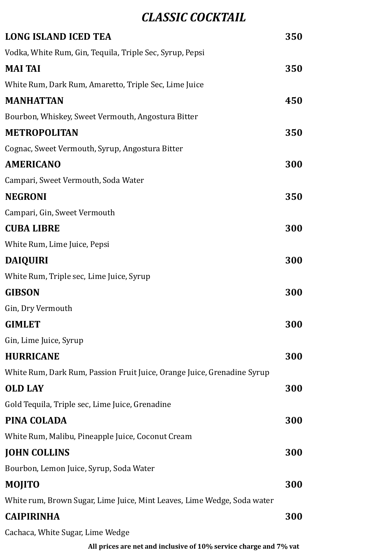### *CLASSIC COCKTAIL*

| <b>LONG ISLAND ICED TEA</b>                                             | 350 |
|-------------------------------------------------------------------------|-----|
| Vodka, White Rum, Gin, Tequila, Triple Sec, Syrup, Pepsi                |     |
| <b>MAI TAI</b>                                                          | 350 |
| White Rum, Dark Rum, Amaretto, Triple Sec, Lime Juice                   |     |
| <b>MANHATTAN</b>                                                        | 450 |
| Bourbon, Whiskey, Sweet Vermouth, Angostura Bitter                      |     |
| <b>METROPOLITAN</b>                                                     | 350 |
| Cognac, Sweet Vermouth, Syrup, Angostura Bitter                         |     |
| <b>AMERICANO</b>                                                        | 300 |
| Campari, Sweet Vermouth, Soda Water                                     |     |
| <b>NEGRONI</b>                                                          | 350 |
| Campari, Gin, Sweet Vermouth                                            |     |
| <b>CUBA LIBRE</b>                                                       | 300 |
| White Rum, Lime Juice, Pepsi                                            |     |
| <b>DAIQUIRI</b>                                                         | 300 |
| White Rum, Triple sec, Lime Juice, Syrup                                |     |
| <b>GIBSON</b>                                                           | 300 |
| Gin, Dry Vermouth                                                       |     |
| <b>GIMLET</b>                                                           | 300 |
| Gin, Lime Juice, Syrup                                                  |     |
| <b>HURRICANE</b>                                                        | 300 |
| White Rum, Dark Rum, Passion Fruit Juice, Orange Juice, Grenadine Syrup |     |
| <b>OLD LAY</b>                                                          | 300 |
| Gold Tequila, Triple sec, Lime Juice, Grenadine                         |     |
| PINA COLADA                                                             | 300 |
| White Rum, Malibu, Pineapple Juice, Coconut Cream                       |     |
| <b>JOHN COLLINS</b>                                                     | 300 |
| Bourbon, Lemon Juice, Syrup, Soda Water                                 |     |
| <b>MOJITO</b>                                                           | 300 |
| White rum, Brown Sugar, Lime Juice, Mint Leaves, Lime Wedge, Soda water |     |
| <b>CAIPIRINHA</b>                                                       | 300 |
| Cachaca, White Sugar, Lime Wedge                                        |     |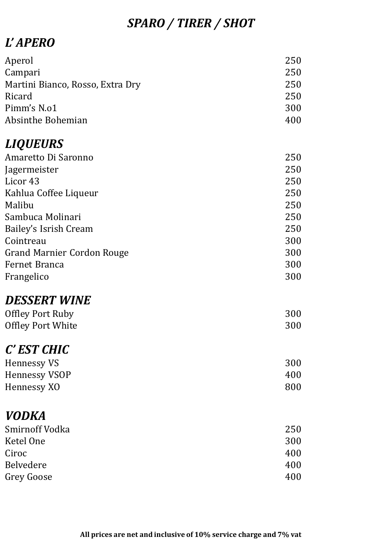## *SPARO / TIRER / SHOT*

### *L' APERO*

| Aperol                            | 250 |
|-----------------------------------|-----|
| Campari                           | 250 |
| Martini Bianco, Rosso, Extra Dry  | 250 |
| Ricard                            | 250 |
| Pimm's N.o1                       | 300 |
| Absinthe Bohemian                 | 400 |
| <b>LIQUEURS</b>                   |     |
| Amaretto Di Saronno               | 250 |
| Jagermeister                      | 250 |
| Licor 43                          | 250 |
| Kahlua Coffee Liqueur             | 250 |
| Malibu                            | 250 |
| Sambuca Molinari                  | 250 |
| Bailey's Isrish Cream             | 250 |
| Cointreau                         | 300 |
| <b>Grand Marnier Cordon Rouge</b> | 300 |
| Fernet Branca                     | 300 |
| Frangelico                        | 300 |
| <b>DESSERT WINE</b>               |     |
| <b>Offley Port Ruby</b>           | 300 |
| <b>Offley Port White</b>          | 300 |
| C' EST CHIC                       |     |
| <b>Hennessy VS</b>                | 300 |
| <b>Hennessy VSOP</b>              | 400 |
| Hennessy XO                       | 800 |
| <b>VODKA</b>                      |     |
| Smirnoff Vodka                    | 250 |
| Ketel One                         | 300 |
| Ciroc                             | 400 |
| <b>Belvedere</b>                  | 400 |
| <b>Grey Goose</b>                 | 400 |
|                                   |     |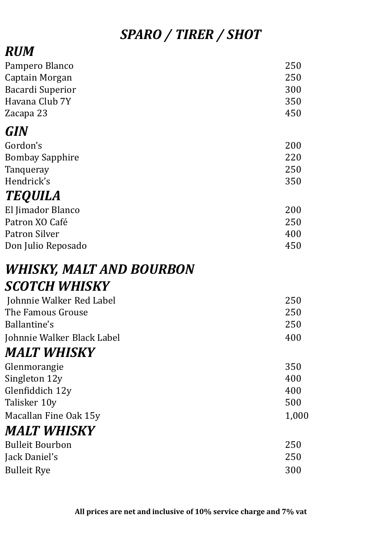# *SPARO / TIRER / SHOT*

# *RUM*

| Pampero Blanco<br>Captain Morgan<br><b>Bacardi Superior</b><br>Havana Club 7Y<br>Zacapa 23                        | 250<br>250<br>300<br>350<br>450   |
|-------------------------------------------------------------------------------------------------------------------|-----------------------------------|
| GIN                                                                                                               |                                   |
| Gordon's<br><b>Bombay Sapphire</b><br>Tanqueray                                                                   | 200<br>220<br>250                 |
| Hendrick's                                                                                                        | 350                               |
| <b>TEQUILA</b><br>El Jimador Blanco<br>Patron XO Café<br><b>Patron Silver</b><br>Don Julio Reposado               | 200<br>250<br>400<br>450          |
| <b>WHISKY, MALT AND BOURBON</b>                                                                                   |                                   |
| SCOTCH WHISKY                                                                                                     |                                   |
| Johnnie Walker Red Label<br>The Famous Grouse<br><b>Ballantine's</b><br>Johnnie Walker Black Label<br>MALT WHISKY | 250<br>250<br>250<br>400          |
| Glenmorangie<br>Singleton 12y<br>Glenfiddich 12y<br>Talisker 10y<br>Macallan Fine Oak 15y                         | 350<br>400<br>400<br>500<br>1,000 |
|                                                                                                                   |                                   |

## *MALT WHISKY*

| <b>Bulleit Bourbon</b> | 250 |
|------------------------|-----|
| Jack Daniel's          | 250 |
| <b>Bulleit Rye</b>     | 300 |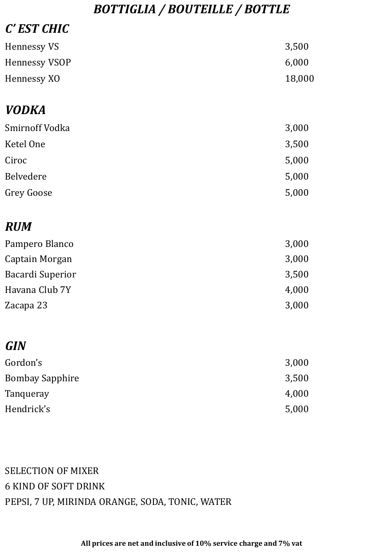### *BOTTIGLIA / BOUTEILLE / BOTTLE*

| C' EST CHIC             |        |
|-------------------------|--------|
| <b>Hennessy VS</b>      | 3,500  |
| <b>Hennessy VSOP</b>    | 6,000  |
| Hennessy XO             | 18,000 |
| <b>VODKA</b>            |        |
| Smirnoff Vodka          | 3,000  |
| Ketel One               | 3,500  |
| Ciroc                   | 5,000  |
| Belvedere               | 5,000  |
| <b>Grey Goose</b>       | 5,000  |
| <b>RUM</b>              |        |
| Pampero Blanco          | 3,000  |
| Captain Morgan          | 3,000  |
| <b>Bacardi Superior</b> | 3,500  |
| Havana Club 7Y          | 4,000  |
| Zacapa 23               | 3,000  |
| <b>GIN</b>              |        |
| Gordon's                | 3,000  |
| <b>Bombay Sapphire</b>  | 3,500  |
| Tanqueray               | 4,000  |
| Hendrick's              | 5,000  |

SELECTION OF MIXER 6 KIND OF SOFT DRINK PEPSI, 7 UP, MIRINDA ORANGE, SODA, TONIC, WATER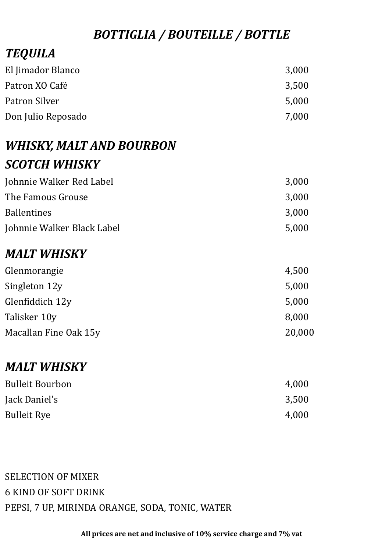### *BOTTIGLIA / BOUTEILLE / BOTTLE*

## *TEQUILA*

| El Jimador Blanco  | 3,000 |
|--------------------|-------|
| Patron XO Café     | 3.500 |
| Patron Silver      | 5,000 |
| Don Julio Reposado | 7,000 |

## *WHISKY, MALT AND BOURBON SCOTCH WHISKY*

| Johnnie Walker Red Label   | 3,000 |
|----------------------------|-------|
| The Famous Grouse          | 3,000 |
| <b>Ballentines</b>         | 3.000 |
| Johnnie Walker Black Label | 5,000 |

### *MALT WHISKY*

| Glenmorangie          | 4,500  |
|-----------------------|--------|
| Singleton 12y         | 5,000  |
| Glenfiddich 12y       | 5,000  |
| Talisker 10y          | 8,000  |
| Macallan Fine Oak 15y | 20,000 |
|                       |        |

### *MALT WHISKY*

| <b>Bulleit Bourbon</b> | 4,000 |
|------------------------|-------|
| Jack Daniel's          | 3,500 |
| <b>Bulleit Rye</b>     | 4,000 |

#### SELECTION OF MIXER 6 KIND OF SOFT DRINK PEPSI, 7 UP, MIRINDA ORANGE, SODA, TONIC, WATER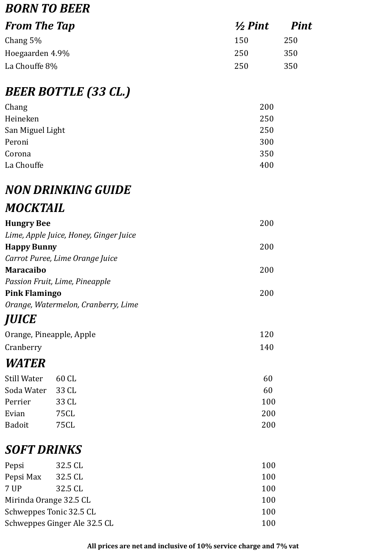## *BORN TO BEER*

| <b>From The Tap</b> | $\frac{1}{2}$ Pint | <b>Pint</b> |
|---------------------|--------------------|-------------|
| Chang $5\%$         | 150                | 250         |
| Hoegaarden 4.9%     | 250                | 350         |
| La Chouffe 8%       | 250                | 350         |

### *BEER BOTTLE (33 CL.)*

| Chang            | 200 |
|------------------|-----|
| Heineken         | 250 |
| San Miguel Light | 250 |
| Peroni           | 300 |
| Corona           | 350 |
| La Chouffe       | 400 |

## *NON DRINKING GUIDE*

### *MOCKTAIL*

| <b>Hungry Bee</b>    |                                        | 200 |
|----------------------|----------------------------------------|-----|
|                      | Lime, Apple Juice, Honey, Ginger Juice |     |
| <b>Happy Bunny</b>   |                                        | 200 |
|                      | Carrot Puree, Lime Orange Juice        |     |
| Maracaibo            |                                        | 200 |
|                      | Passion Fruit, Lime, Pineapple         |     |
| <b>Pink Flamingo</b> |                                        | 200 |
|                      | Orange, Watermelon, Cranberry, Lime    |     |
| <i><b>JUICE</b></i>  |                                        |     |
|                      | Orange, Pineapple, Apple               | 120 |
| Cranberry            |                                        | 140 |
| <b>WATER</b>         |                                        |     |
| Still Water          | 60 CL                                  | 60  |
| Soda Water           | 33 CL                                  | 60  |
| Perrier              | 33 CL                                  | 100 |
| Evian                | 75CL                                   | 200 |
| Badoit               | 75CL                                   | 200 |
| SOFT DRINKS          |                                        |     |
| Pepsi                | 32.5 CL                                | 100 |
| Pepsi Max            | 32.5 CL                                | 100 |
| 7 UP                 | 32.5 CL                                | 100 |
|                      |                                        |     |

| .                       |                              | .   |
|-------------------------|------------------------------|-----|
| Mirinda Orange 32.5 CL  |                              | 100 |
| Schweppes Tonic 32.5 CL |                              | 100 |
|                         | Schweppes Ginger Ale 32.5 CL | 100 |
|                         |                              |     |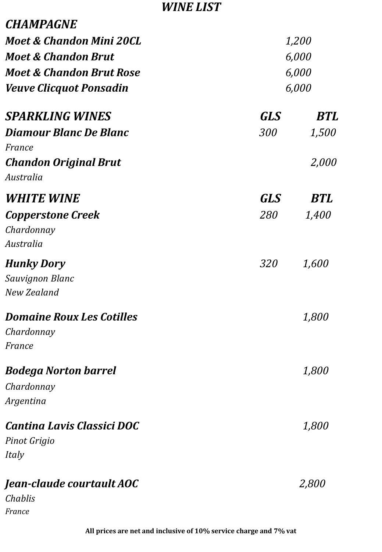#### *WINE LIST*

| <b>CHAMPAGNE</b>                                         |              |                |  |
|----------------------------------------------------------|--------------|----------------|--|
| Moet & Chandon Mini 20CL                                 | <i>1,200</i> |                |  |
| <b>Moet &amp; Chandon Brut</b>                           |              | 6,000          |  |
| <b>Moet &amp; Chandon Brut Rose</b>                      |              | 6,000<br>6,000 |  |
| <b>Veuve Clicquot Ponsadin</b>                           |              |                |  |
| <b>SPARKLING WINES</b>                                   | <b>GLS</b>   | BTL            |  |
| Diamour Blanc De Blanc                                   | 300          | 1,500          |  |
| France                                                   |              |                |  |
| <b>Chandon Original Brut</b><br>Australia                |              | 2,000          |  |
| <b>WHITE WINE</b>                                        | <b>GLS</b>   | <b>BTL</b>     |  |
| <b>Copperstone Creek</b><br>Chardonnay<br>Australia      | 280          | 1,400          |  |
| <b>Hunky Dory</b><br>Sauvignon Blanc<br>New Zealand      | 320          | 1,600          |  |
| <b>Domaine Roux Les Cotilles</b><br>Chardonnay<br>France |              | <i>1,800</i>   |  |
| <b>Bodega Norton barrel</b>                              |              | 1,800          |  |
| Chardonnay                                               |              |                |  |
| Argentina                                                |              |                |  |
| <b>Cantina Lavis Classici DOC</b>                        |              | <i>1,800</i>   |  |
| Pinot Grigio<br>Italy                                    |              |                |  |
| Jean-claude courtault AOC<br>Chablis<br>France           |              | <i>2,800</i>   |  |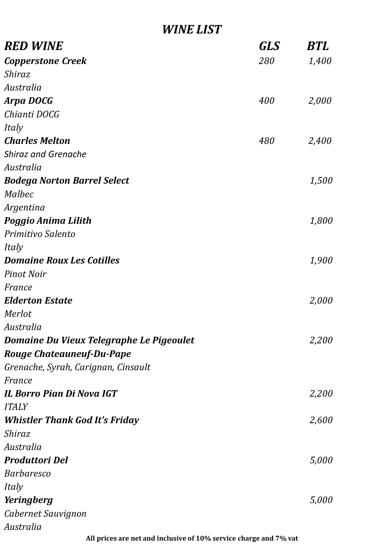#### *WINE LIST*

| <b>RED WINE</b>                          | GLS | <b>BTL</b> |
|------------------------------------------|-----|------------|
| <b>Copperstone Creek</b>                 | 280 | 1,400      |
| Shiraz                                   |     |            |
| Australia                                |     |            |
| <b>Arpa DOCG</b>                         | 400 | 2,000      |
| Chianti DOCG                             |     |            |
| Italy                                    |     |            |
| <b>Charles Melton</b>                    | 480 | 2,400      |
| <b>Shiraz and Grenache</b>               |     |            |
| Australia                                |     |            |
| <b>Bodega Norton Barrel Select</b>       |     | 1,500      |
| Malbec                                   |     |            |
| Argentina                                |     |            |
| Poggio Anima Lilith                      |     | 1,800      |
| Primitivo Salento                        |     |            |
| Italy                                    |     |            |
| <b>Domaine Roux Les Cotilles</b>         |     | 1,900      |
| <b>Pinot Noir</b>                        |     |            |
| France                                   |     |            |
| <b>Elderton Estate</b>                   |     | 2,000      |
| Merlot                                   |     |            |
| Australia                                |     |            |
| Domaine Du Vieux Telegraphe Le Pigeoulet |     | 2,200      |
| <b>Rouge Chateauneuf-Du-Pape</b>         |     |            |
| Grenache, Syrah, Carignan, Cinsault      |     |            |
| France                                   |     |            |
| <b>IL Borro Pian Di Nova IGT</b>         |     | 2,200      |
| <b>ITALY</b>                             |     |            |
| <b>Whistler Thank God It's Friday</b>    |     | 2,600      |
| Shiraz                                   |     |            |
| Australia                                |     |            |
| <b>Produttori Del</b>                    |     | 5,000      |
| <b>Barbaresco</b>                        |     |            |
| Italy                                    |     |            |
| Yeringberg                               |     | 5,000      |
| Cabernet Sauvignon                       |     |            |
| Australia                                |     |            |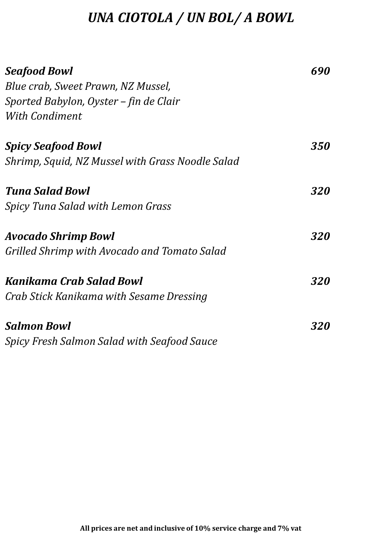# *UNA CIOTOLA / UN BOL/ A BOWL*

| <b>Seafood Bowl</b>                                | 690        |
|----------------------------------------------------|------------|
| Blue crab, Sweet Prawn, NZ Mussel,                 |            |
| Sported Babylon, Oyster – fin de Clair             |            |
| <b>With Condiment</b>                              |            |
| <b>Spicy Seafood Bowl</b>                          | <b>350</b> |
| Shrimp, Squid, NZ Mussel with Grass Noodle Salad   |            |
| <b>Tuna Salad Bowl</b>                             | <b>320</b> |
| <b>Spicy Tuna Salad with Lemon Grass</b>           |            |
| Avocado Shrimp Bowl                                | <b>320</b> |
| Grilled Shrimp with Avocado and Tomato Salad       |            |
| Kanikama Crab Salad Bowl                           | <b>320</b> |
| Crab Stick Kanikama with Sesame Dressing           |            |
| <b>Salmon Bowl</b>                                 | <i>320</i> |
| <b>Spicy Fresh Salmon Salad with Seafood Sauce</b> |            |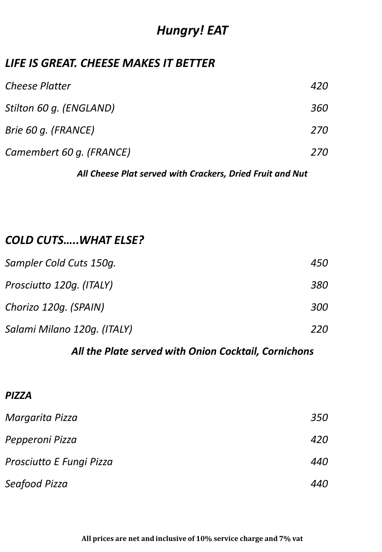## *Hungry! EAT*

#### *LIFE IS GREAT. CHEESE MAKES IT BETTER*

| <b>Cheese Platter</b>    | 420 |
|--------------------------|-----|
| Stilton 60 g. (ENGLAND)  | 360 |
| Brie 60 g. (FRANCE)      | 270 |
| Camembert 60 g. (FRANCE) | 270 |

#### *All Cheese Plat served with Crackers, Dried Fruit and Nut*

#### *COLD CUTS…..WHAT ELSE?*

| Sampler Cold Cuts 150g.     | 450 |
|-----------------------------|-----|
| Prosciutto 120g. (ITALY)    | 380 |
| Chorizo 120g. (SPAIN)       | 300 |
| Salami Milano 120g. (ITALY) | 220 |

#### *All the Plate served with Onion Cocktail, Cornichons*

#### *PIZZA*

| Margarita Pizza          | 350 |
|--------------------------|-----|
| Pepperoni Pizza          | 420 |
| Prosciutto E Fungi Pizza | 440 |
| Seafood Pizza            | 440 |